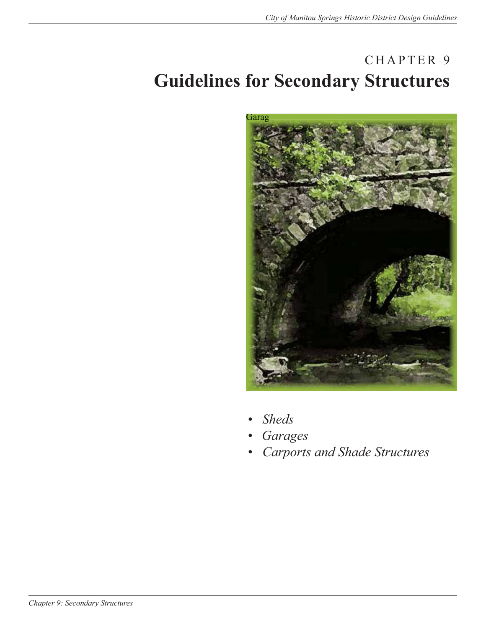# CHAPTER 9 **Guidelines for Secondary Structures**



- *Sheds*
- *• Garages*
- *Carports and Shade Structures*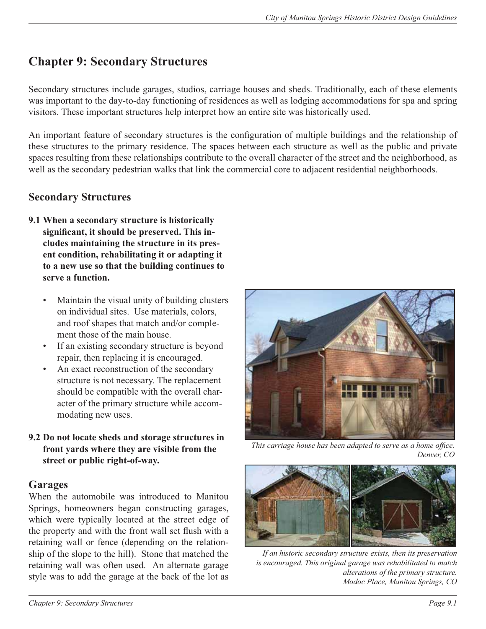# **Chapter 9: Secondary Structures**

Secondary structures include garages, studios, carriage houses and sheds. Traditionally, each of these elements was important to the day-to-day functioning of residences as well as lodging accommodations for spa and spring visitors. These important structures help interpret how an entire site was historically used.

An important feature of secondary structures is the configuration of multiple buildings and the relationship of these structures to the primary residence. The spaces between each structure as well as the public and private spaces resulting from these relationships contribute to the overall character of the street and the neighborhood, as well as the secondary pedestrian walks that link the commercial core to adjacent residential neighborhoods.

### **Secondary Structures**

- **9.1 When a secondary structure is historically**  significant, it should be preserved. This in**cludes maintaining the structure in its present condition, rehabilitating it or adapting it to a new use so that the building continues to serve a function.**
	- Maintain the visual unity of building clusters on individual sites. Use materials, colors, and roof shapes that match and/or complement those of the main house.
	- If an existing secondary structure is beyond repair, then replacing it is encouraged.
	- An exact reconstruction of the secondary structure is not necessary. The replacement should be compatible with the overall character of the primary structure while accommodating new uses.
- **9.2 Do not locate sheds and storage structures in front yards where they are visible from the street or public right-of-way.**

#### **Garages**

When the automobile was introduced to Manitou Springs, homeowners began constructing garages, which were typically located at the street edge of the property and with the front wall set flush with a retaining wall or fence (depending on the relationship of the slope to the hill). Stone that matched the retaining wall was often used. An alternate garage style was to add the garage at the back of the lot as



This carriage house has been adapted to serve as a home office. *Denver, CO*



*If an historic secondary structure exists, then its preservation is encouraged. This original garage was rehabilitated to match alterations of the primary structure. Modoc Place, Manitou Springs, CO*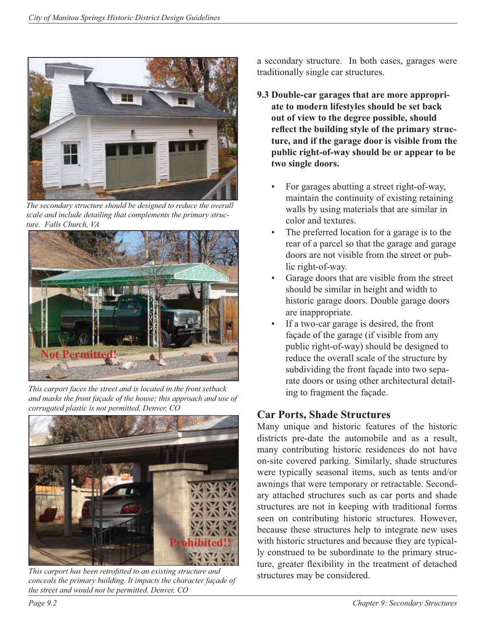

*The secondary structure should be designed to reduce the overall scale and include detailing that complements the primary structure. Falls Church, VA*



*This carport faces the street and is located in the front setback and masks the front façade of the house; this approach and use of corrugated plastic is not permitted, Denver, CO*



This carport has been retrofitted to an existing structure and *conceals the primary building. It impacts the character façade of the street and would not be permitted. Denver, CO*

a secondary structure. In both cases, garages were traditionally single car structures.

- **9.3 Double-car garages that are more appropriate to modern lifestyles should be set back out of view to the degree possible, should**  reflect the building style of the primary struc**ture, and if the garage door is visible from the public right-of-way should be or appear to be two single doors.**
	- For garages abutting a street right-of-way, maintain the continuity of existing retaining walls by using materials that are similar in color and textures.
	- The preferred location for a garage is to the rear of a parcel so that the garage and garage doors are not visible from the street or public right-of-way.
	- Garage doors that are visible from the street should be similar in height and width to historic garage doors. Double garage doors are inappropriate.
	- If a two-car garage is desired, the front façade of the garage (if visible from any public right-of-way) should be designed to reduce the overall scale of the structure by subdividing the front façade into two separate doors or using other architectural detailing to fragment the façade.

## **Car Ports, Shade Structures**

Many unique and historic features of the historic districts pre-date the automobile and as a result, many contributing historic residences do not have on-site covered parking. Similarly, shade structures were typically seasonal items, such as tents and/or awnings that were temporary or retractable. Secondary attached structures such as car ports and shade structures are not in keeping with traditional forms seen on contributing historic structures. However, because these structures help to integrate new uses with historic structures and because they are typically construed to be subordinate to the primary structure, greater flexibility in the treatment of detached structures may be considered.